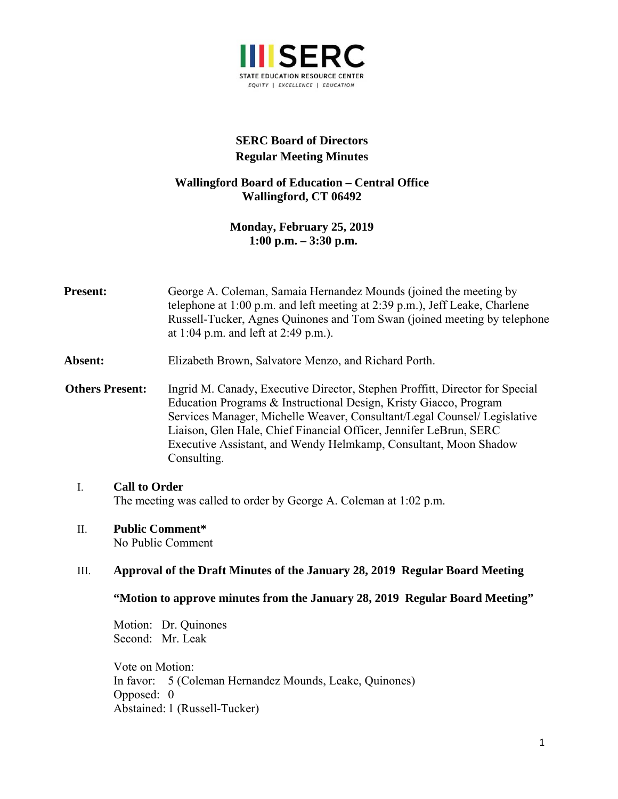

# **SERC Board of Directors Regular Meeting Minutes**

## **Wallingford Board of Education – Central Office Wallingford, CT 06492**

**Monday, February 25, 2019 1:00 p.m. – 3:30 p.m.** 

- **Present:** George A. Coleman, Samaia Hernandez Mounds (joined the meeting by telephone at 1:00 p.m. and left meeting at 2:39 p.m.), Jeff Leake, Charlene Russell-Tucker, Agnes Quinones and Tom Swan (joined meeting by telephone at 1:04 p.m. and left at 2:49 p.m.).
- **Absent:** Elizabeth Brown, Salvatore Menzo, and Richard Porth.
- **Others Present:** Ingrid M. Canady, Executive Director, Stephen Proffitt, Director for Special Education Programs & Instructional Design, Kristy Giacco, Program Services Manager, Michelle Weaver, Consultant/Legal Counsel/ Legislative Liaison, Glen Hale, Chief Financial Officer, Jennifer LeBrun, SERC Executive Assistant, and Wendy Helmkamp, Consultant, Moon Shadow Consulting.

#### I. **Call to Order**  The meeting was called to order by George A. Coleman at 1:02 p.m.

## II. **Public Comment\***

No Public Comment

## III. **Approval of the Draft Minutes of the January 28, 2019 Regular Board Meeting**

## **"Motion to approve minutes from the January 28, 2019 Regular Board Meeting"**

Motion: Dr. Quinones Second: Mr. Leak

Vote on Motion: In favor: 5 (Coleman Hernandez Mounds, Leake, Quinones) Opposed: 0 Abstained: 1 (Russell-Tucker)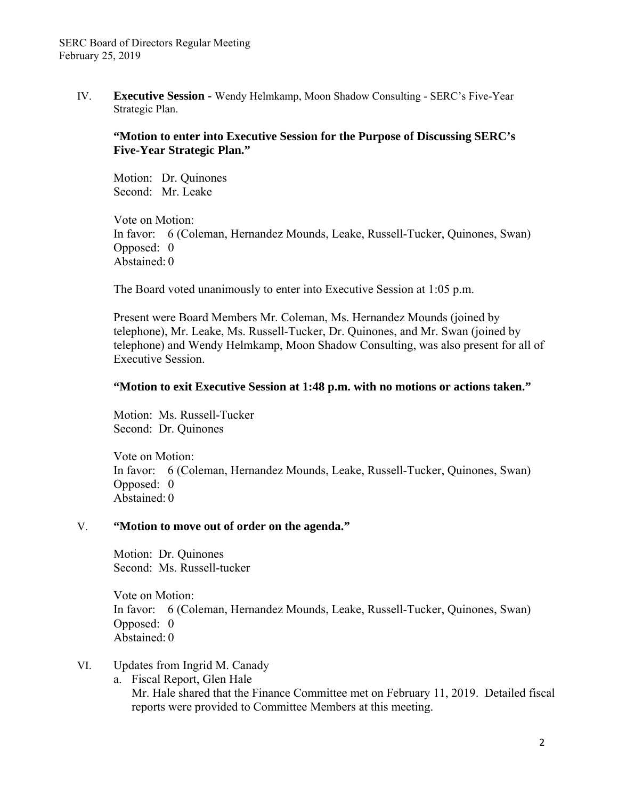IV. **Executive Session -** Wendy Helmkamp, Moon Shadow Consulting - SERC's Five-Year Strategic Plan.

### **"Motion to enter into Executive Session for the Purpose of Discussing SERC's Five-Year Strategic Plan."**

Motion: Dr. Quinones Second: Mr. Leake

Vote on Motion: In favor: 6 (Coleman, Hernandez Mounds, Leake, Russell-Tucker, Quinones, Swan) Opposed: 0 Abstained: 0

The Board voted unanimously to enter into Executive Session at 1:05 p.m.

Present were Board Members Mr. Coleman, Ms. Hernandez Mounds (joined by telephone), Mr. Leake, Ms. Russell-Tucker, Dr. Quinones, and Mr. Swan (joined by telephone) and Wendy Helmkamp, Moon Shadow Consulting, was also present for all of Executive Session.

#### **"Motion to exit Executive Session at 1:48 p.m. with no motions or actions taken."**

Motion: Ms. Russell-Tucker Second: Dr. Quinones

Vote on Motion: In favor: 6 (Coleman, Hernandez Mounds, Leake, Russell-Tucker, Quinones, Swan) Opposed: 0 Abstained: 0

#### V. **"Motion to move out of order on the agenda."**

Motion: Dr. Quinones Second: Ms. Russell-tucker

Vote on Motion: In favor: 6 (Coleman, Hernandez Mounds, Leake, Russell-Tucker, Quinones, Swan) Opposed: 0 Abstained: 0

- VI. Updates from Ingrid M. Canady
	- a. Fiscal Report, Glen Hale Mr. Hale shared that the Finance Committee met on February 11, 2019. Detailed fiscal reports were provided to Committee Members at this meeting.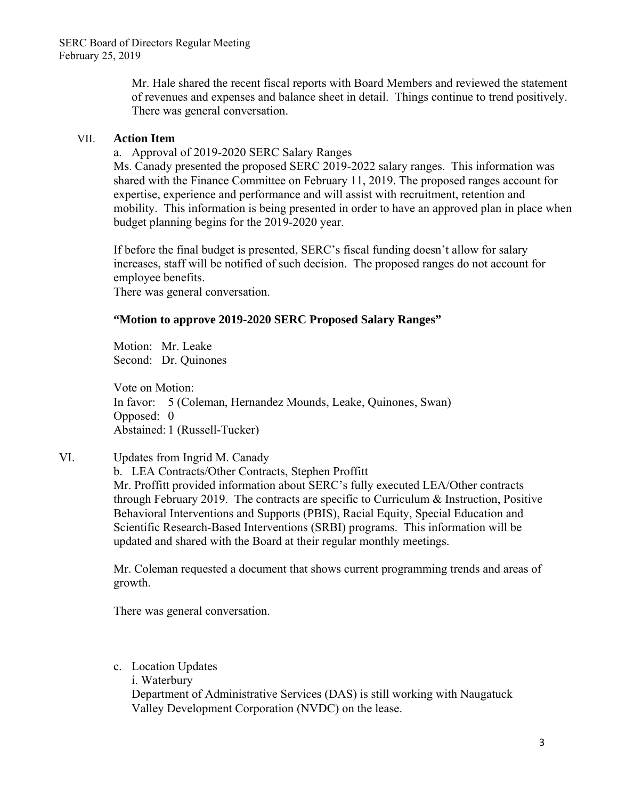Mr. Hale shared the recent fiscal reports with Board Members and reviewed the statement of revenues and expenses and balance sheet in detail. Things continue to trend positively. There was general conversation.

### VII. **Action Item**

a. Approval of 2019-2020 SERC Salary Ranges

Ms. Canady presented the proposed SERC 2019-2022 salary ranges. This information was shared with the Finance Committee on February 11, 2019. The proposed ranges account for expertise, experience and performance and will assist with recruitment, retention and mobility. This information is being presented in order to have an approved plan in place when budget planning begins for the 2019-2020 year.

If before the final budget is presented, SERC's fiscal funding doesn't allow for salary increases, staff will be notified of such decision. The proposed ranges do not account for employee benefits.

There was general conversation.

## **"Motion to approve 2019-2020 SERC Proposed Salary Ranges"**

Motion: Mr. Leake Second: Dr. Quinones

Vote on Motion: In favor: 5 (Coleman, Hernandez Mounds, Leake, Quinones, Swan) Opposed: 0 Abstained: 1 (Russell-Tucker)

# VI. Updates from Ingrid M. Canady

b. LEA Contracts/Other Contracts, Stephen Proffitt Mr. Proffitt provided information about SERC's fully executed LEA/Other contracts through February 2019. The contracts are specific to Curriculum & Instruction, Positive Behavioral Interventions and Supports (PBIS), Racial Equity, Special Education and Scientific Research-Based Interventions (SRBI) programs. This information will be updated and shared with the Board at their regular monthly meetings.

Mr. Coleman requested a document that shows current programming trends and areas of growth.

There was general conversation.

c. Location Updates

i. Waterbury

Department of Administrative Services (DAS) is still working with Naugatuck Valley Development Corporation (NVDC) on the lease.